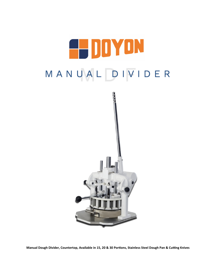

**Manual Dough Divider, Countertop, Available in 15, 20 & 30 Portions, Stainless Steel Dough Pan & Cutting Knives**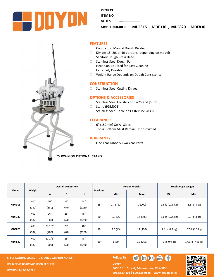

**PROJECT** 

**ITEM NO.** 

**NOTES** 

**MODEL NUMBER: MDF315 , MDF330 , MDF820 , MDF830**



## **FEATURES**

- Countertop Manual Dough Divider
- $\square$  Divides 15, 20, or 30 portions (depending on model)
- □ Sanitary Dough Press Head
- □ Stainless Steel Dough Pan
- □ Head Can Be Tilted for Easy Cleaning
- □ Extremely Durable
- Weight Range Depends on Dough Consistency

#### **CONSTRUCTION**

□ Stainless Steel Cutting Knives

#### **OPTIONS & ACCESSORIES**

- □ Stainless Steel Construction w/Stand [Suffix I]
- □ Stand (PDM001)
- □ Stainless Steel Table on Casters (SS2830)

# **CLEARANCES**

- 6" (152mm) On All Sides
- □ Top & Bottom Must Remain Unobstructed

## **WARRANTY**

□ One Year Labor & Two Year Parts

# **\*SHOWN ON OPTIONAL STAND**

| Model         | Weight | <b>Overall Dimensions</b> |       |        |                 | <b>Portion Weight</b> |          | <b>Total Dough Weight</b>  |                         |
|---------------|--------|---------------------------|-------|--------|-----------------|-----------------------|----------|----------------------------|-------------------------|
|               |        | W                         | D     | н      | <b>Portions</b> | Min.                  | Max.     | Min.                       | Max.                    |
| <b>MDF315</b> | 400    | 26''                      | 26''  | 48"    | 15              | 1.75(50)              | 7(200)   | 1.6 lb $(0.75 \text{ kg})$ | 6.5 lb $(3 \text{ kg})$ |
|               | (182)  | (680)                     | (670) | (1230) |                 |                       |          |                            |                         |
| <b>MDF330</b> | 400    | 26''                      | 26"   | 48"    | 30              | 0.9(26)               | 3.5(100) | 1.6 lb (0.75 kg)           | 6.6 lb $(3 kg)$         |
|               | (182)  | (680)                     | (670) | (1230) |                 |                       |          |                            |                         |
| <b>MDF820</b> | 400    | 271/2"                    | 26"   | 48"    | 20              | 1.6(45)               | 14 (400) | 1.9 lb (0.9 kg)            | 17 lb (7.5 kg)          |
|               | (182)  | (700)                     | (670) | (1230) |                 |                       |          |                            |                         |
| <b>MDF830</b> | 400    | 271/2"                    | 26''  | 48"    | 30              | 1(30)                 | 9.3(265) | 2 lb (0.9 kg)              | 17.5 lb (7.95 kg)       |
|               | (182)  | (700)                     | (670) | (1230) |                 |                       |          |                            |                         |

**SPECIFICATIONS SUBJECT TO CHANGE WITHOUT NOTICE FOLLOW US KCL & REVIT DRAWINGS UPON REQUEST REVISION B| 5/27/2021**

**Doyon** 



5600 13th Street, Menominee, MI 49858 **906.863.4401 | 800.338.9886 | [www.doyon.qc.ca](http://www.doyon.qc.ca/)**

S

 $\mathbf{G}$   $\mathbf{G}$   $\mathbf{G}$